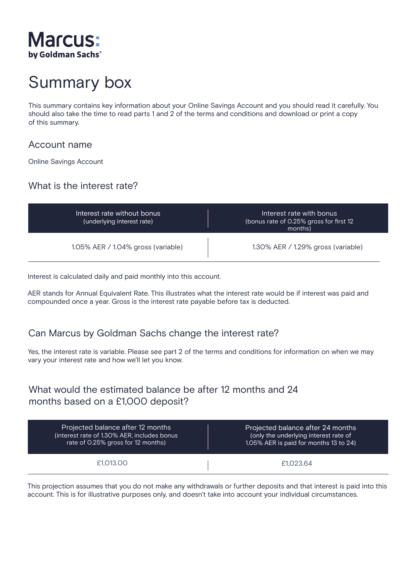

# Summary box

This summary contains key information about your Online Savings Account and you should read it carefully. You should also take the time to read parts 1 and 2 of the terms and conditions and download or print a copy of this summary.

#### Account name

Online Savings Account

## What is the interest rate?

| Interest rate without bonus<br>(underlying interest rate) | Interest rate with bonus<br>(bonus rate of 0.25% gross for first 12<br>months) |
|-----------------------------------------------------------|--------------------------------------------------------------------------------|
| 1.05% AER / 1.04% gross (variable)                        | $1.30\%$ AER / 1.29% gross (variable)                                          |

Interest is calculated daily and paid monthly into this account.

AER stands for Annual Equivalent Rate. This illustrates what the interest rate would be if interest was paid and compounded once a year. Gross is the interest rate payable before tax is deducted.

## Can Marcus by Goldman Sachs change the interest rate?

Yes, the interest rate is variable. Please see part 2 of the terms and conditions for information on when we may vary your interest rate and how we'll let you know.

## What would the estimated balance be after 12 months and 24 months based on a £1,000 deposit?

| Projected balance after 12 months            | Projected balance after 24 months      |
|----------------------------------------------|----------------------------------------|
| (interest rate of 1.30% AER, includes bonus) | (only the underlying interest rate of  |
| rate of 0.25% gross for 12 months)           | 1.05% AER is paid for months 13 to 24) |
| £1.013.00                                    | £1.023.64                              |

This projection assumes that you do not make any withdrawals or further deposits and that interest is paid into this account. This is for illustrative purposes only, and doesn't take into account your individual circumstances.